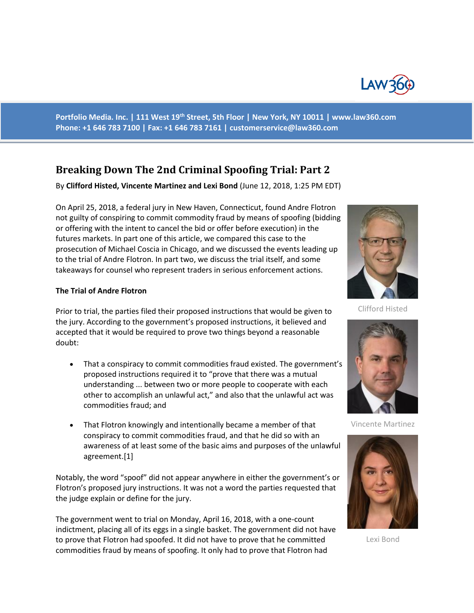

**Portfolio Media. Inc. | 111 West 19th Street, 5th Floor | New York, NY 10011 | www.law360.com Phone: +1 646 783 7100 | Fax: +1 646 783 7161 | [customerservice@law360.com](mailto:customerservice@law360.com)**

## **Breaking Down The 2nd Criminal Spoofing Trial: Part 2**

By **Clifford Histed, Vincente Martinez and Lexi Bond** (June 12, 2018, 1:25 PM EDT)

On April 25, 2018, a federal jury in New Haven, Connecticut, found Andre Flotron not guilty of conspiring to commit commodity fraud by means of spoofing (bidding or offering with the intent to cancel the bid or offer before execution) in the futures markets. In part one of this article, we compared this case to the prosecution of Michael Coscia in Chicago, and we discussed the events leading up to the trial of Andre Flotron. In part two, we discuss the trial itself, and some takeaways for counsel who represent traders in serious enforcement actions.

## **The Trial of Andre Flotron**

Prior to trial, the parties filed their proposed instructions that would be given to the jury. According to the government's proposed instructions, it believed and accepted that it would be required to prove two things beyond a reasonable doubt:

- That a conspiracy to commit commodities fraud existed. The government's proposed instructions required it to "prove that there was a mutual understanding ... between two or more people to cooperate with each other to accomplish an unlawful act," and also that the unlawful act was commodities fraud; and
- That Flotron knowingly and intentionally became a member of that conspiracy to commit commodities fraud, and that he did so with an awareness of at least some of the basic aims and purposes of the unlawful agreement.[1]

Notably, the word "spoof" did not appear anywhere in either the government's or Flotron's proposed jury instructions. It was not a word the parties requested that the judge explain or define for the jury.

The government went to trial on Monday, April 16, 2018, with a one-count indictment, placing all of its eggs in a single basket. The government did not have to prove that Flotron had spoofed. It did not have to prove that he committed commodities fraud by means of spoofing. It only had to prove that Flotron had



Clifford Histed



Vincente Martinez



Lexi Bond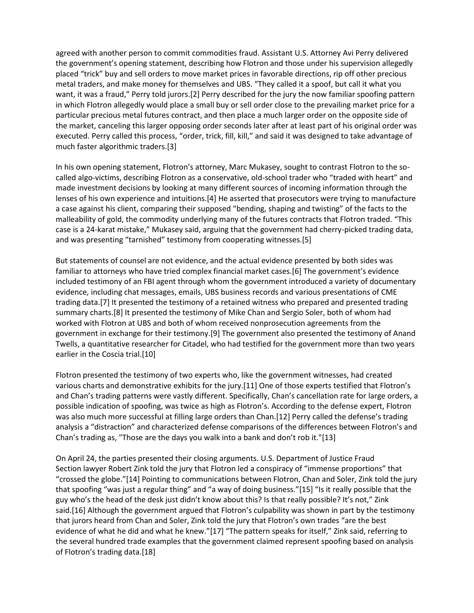agreed with another person to commit commodities fraud. Assistant U.S. Attorney Avi Perry delivered the government's opening statement, describing how Flotron and those under his supervision allegedly placed "trick" buy and sell orders to move market prices in favorable directions, rip off other precious metal traders, and make money for themselves and UBS. "They called it a spoof, but call it what you want, it was a fraud," Perry told jurors.[2] Perry described for the jury the now familiar spoofing pattern in which Flotron allegedly would place a small buy or sell order close to the prevailing market price for a particular precious metal futures contract, and then place a much larger order on the opposite side of the market, canceling this larger opposing order seconds later after at least part of his original order was executed. Perry called this process, "order, trick, fill, kill," and said it was designed to take advantage of much faster algorithmic traders.[3]

In his own opening statement, Flotron's attorney, Marc Mukasey, sought to contrast Flotron to the socalled algo-victims, describing Flotron as a conservative, old-school trader who "traded with heart" and made investment decisions by looking at many different sources of incoming information through the lenses of his own experience and intuitions.[4] He asserted that prosecutors were trying to manufacture a case against his client, comparing their supposed "bending, shaping and twisting" of the facts to the malleability of gold, the commodity underlying many of the futures contracts that Flotron traded. "This case is a 24-karat mistake," Mukasey said, arguing that the government had cherry-picked trading data, and was presenting "tarnished" testimony from cooperating witnesses.[5]

But statements of counsel are not evidence, and the actual evidence presented by both sides was familiar to attorneys who have tried complex financial market cases.[6] The government's evidence included testimony of an FBI agent through whom the government introduced a variety of documentary evidence, including chat messages, emails, UBS business records and various presentations of CME trading data.[7] It presented the testimony of a retained witness who prepared and presented trading summary charts.[8] It presented the testimony of Mike Chan and Sergio Soler, both of whom had worked with Flotron at UBS and both of whom received nonprosecution agreements from the government in exchange for their testimony.[9] The government also presented the testimony of Anand Twells, a quantitative researcher for Citadel, who had testified for the government more than two years earlier in the Coscia trial.[10]

Flotron presented the testimony of two experts who, like the government witnesses, had created various charts and demonstrative exhibits for the jury.[11] One of those experts testified that Flotron's and Chan's trading patterns were vastly different. Specifically, Chan's cancellation rate for large orders, a possible indication of spoofing, was twice as high as Flotron's. According to the defense expert, Flotron was also much more successful at filling large orders than Chan.[12] Perry called the defense's trading analysis a "distraction" and characterized defense comparisons of the differences between Flotron's and Chan's trading as, "Those are the days you walk into a bank and don't rob it."[13]

On April 24, the parties presented their closing arguments. U.S. Department of Justice Fraud Section lawyer Robert Zink told the jury that Flotron led a conspiracy of "immense proportions" that "crossed the globe."[14] Pointing to communications between Flotron, Chan and Soler, Zink told the jury that spoofing "was just a regular thing" and "a way of doing business."[15] "Is it really possible that the guy who's the head of the desk just didn't know about this? Is that really possible? It's not," Zink said.[16] Although the government argued that Flotron's culpability was shown in part by the testimony that jurors heard from Chan and Soler, Zink told the jury that Flotron's own trades "are the best evidence of what he did and what he knew."[17] "The pattern speaks for itself," Zink said, referring to the several hundred trade examples that the government claimed represent spoofing based on analysis of Flotron's trading data.[18]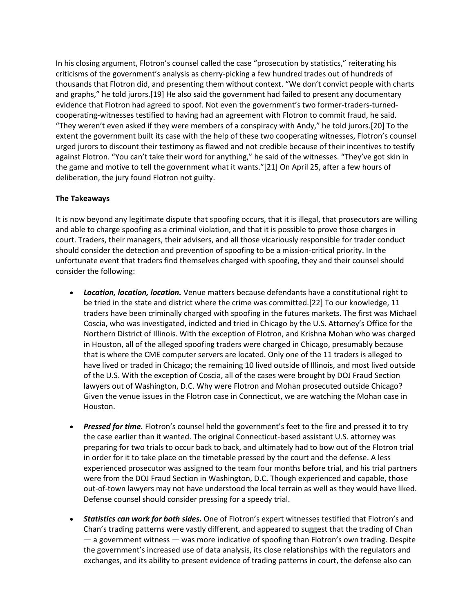In his closing argument, Flotron's counsel called the case "prosecution by statistics," reiterating his criticisms of the government's analysis as cherry-picking a few hundred trades out of hundreds of thousands that Flotron did, and presenting them without context. "We don't convict people with charts and graphs," he told jurors.[19] He also said the government had failed to present any documentary evidence that Flotron had agreed to spoof. Not even the government's two former-traders-turnedcooperating-witnesses testified to having had an agreement with Flotron to commit fraud, he said. "They weren't even asked if they were members of a conspiracy with Andy," he told jurors.[20] To the extent the government built its case with the help of these two cooperating witnesses, Flotron's counsel urged jurors to discount their testimony as flawed and not credible because of their incentives to testify against Flotron. "You can't take their word for anything," he said of the witnesses. "They've got skin in the game and motive to tell the government what it wants."[21] On April 25, after a few hours of deliberation, the jury found Flotron not guilty.

## **The Takeaways**

It is now beyond any legitimate dispute that spoofing occurs, that it is illegal, that prosecutors are willing and able to charge spoofing as a criminal violation, and that it is possible to prove those charges in court. Traders, their managers, their advisers, and all those vicariously responsible for trader conduct should consider the detection and prevention of spoofing to be a mission-critical priority. In the unfortunate event that traders find themselves charged with spoofing, they and their counsel should consider the following:

- *Location, location, location.* Venue matters because defendants have a constitutional right to be tried in the state and district where the crime was committed.[22] To our knowledge, 11 traders have been criminally charged with spoofing in the futures markets. The first was Michael Coscia, who was investigated, indicted and tried in Chicago by the U.S. Attorney's Office for the Northern District of Illinois. With the exception of Flotron, and Krishna Mohan who was charged in Houston, all of the alleged spoofing traders were charged in Chicago, presumably because that is where the CME computer servers are located. Only one of the 11 traders is alleged to have lived or traded in Chicago; the remaining 10 lived outside of Illinois, and most lived outside of the U.S. With the exception of Coscia, all of the cases were brought by DOJ Fraud Section lawyers out of Washington, D.C. Why were Flotron and Mohan prosecuted outside Chicago? Given the venue issues in the Flotron case in Connecticut, we are watching the Mohan case in Houston.
- *Pressed for time.* Flotron's counsel held the government's feet to the fire and pressed it to try the case earlier than it wanted. The original Connecticut-based assistant U.S. attorney was preparing for two trials to occur back to back, and ultimately had to bow out of the Flotron trial in order for it to take place on the timetable pressed by the court and the defense. A less experienced prosecutor was assigned to the team four months before trial, and his trial partners were from the DOJ Fraud Section in Washington, D.C. Though experienced and capable, those out-of-town lawyers may not have understood the local terrain as well as they would have liked. Defense counsel should consider pressing for a speedy trial.
- *Statistics can work for both sides.* One of Flotron's expert witnesses testified that Flotron's and Chan's trading patterns were vastly different, and appeared to suggest that the trading of Chan — a government witness — was more indicative of spoofing than Flotron's own trading. Despite the government's increased use of data analysis, its close relationships with the regulators and exchanges, and its ability to present evidence of trading patterns in court, the defense also can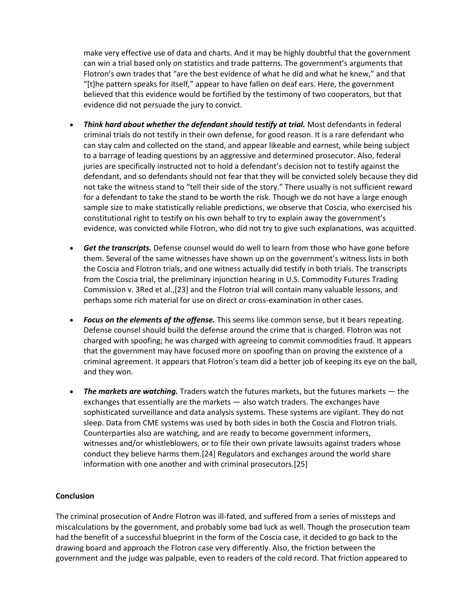make very effective use of data and charts. And it may be highly doubtful that the government can win a trial based only on statistics and trade patterns. The government's arguments that Flotron's own trades that "are the best evidence of what he did and what he knew," and that "[t]he pattern speaks for itself," appear to have fallen on deaf ears. Here, the government believed that this evidence would be fortified by the testimony of two cooperators, but that evidence did not persuade the jury to convict.

- *Think hard about whether the defendant should testify at trial.* Most defendants in federal criminal trials do not testify in their own defense, for good reason. It is a rare defendant who can stay calm and collected on the stand, and appear likeable and earnest, while being subject to a barrage of leading questions by an aggressive and determined prosecutor. Also, federal juries are specifically instructed not to hold a defendant's decision not to testify against the defendant, and so defendants should not fear that they will be convicted solely because they did not take the witness stand to "tell their side of the story." There usually is not sufficient reward for a defendant to take the stand to be worth the risk. Though we do not have a large enough sample size to make statistically reliable predictions, we observe that Coscia, who exercised his constitutional right to testify on his own behalf to try to explain away the government's evidence, was convicted while Flotron, who did not try to give such explanations, was acquitted.
- *Get the transcripts.* Defense counsel would do well to learn from those who have gone before them. Several of the same witnesses have shown up on the government's witness lists in both the Coscia and Flotron trials, and one witness actually did testify in both trials. The transcripts from the Coscia trial, the preliminary injunction hearing in U.S. Commodity Futures Trading Commission v. 3Red et al.,[23] and the Flotron trial will contain many valuable lessons, and perhaps some rich material for use on direct or cross-examination in other cases.
- *Focus on the elements of the offense.* This seems like common sense, but it bears repeating. Defense counsel should build the defense around the crime that is charged. Flotron was not charged with spoofing; he was charged with agreeing to commit commodities fraud. It appears that the government may have focused more on spoofing than on proving the existence of a criminal agreement. It appears that Flotron's team did a better job of keeping its eye on the ball, and they won.
- *The markets are watching.* Traders watch the futures markets, but the futures markets the exchanges that essentially are the markets — also watch traders. The exchanges have sophisticated surveillance and data analysis systems. These systems are vigilant. They do not sleep. Data from CME systems was used by both sides in both the Coscia and Flotron trials. Counterparties also are watching, and are ready to become government informers, witnesses and/or whistleblowers, or to file their own private lawsuits against traders whose conduct they believe harms them.[24] Regulators and exchanges around the world share information with one another and with criminal prosecutors.[25]

## **Conclusion**

The criminal prosecution of Andre Flotron was ill-fated, and suffered from a series of missteps and miscalculations by the government, and probably some bad luck as well. Though the prosecution team had the benefit of a successful blueprint in the form of the Coscia case, it decided to go back to the drawing board and approach the Flotron case very differently. Also, the friction between the government and the judge was palpable, even to readers of the cold record. That friction appeared to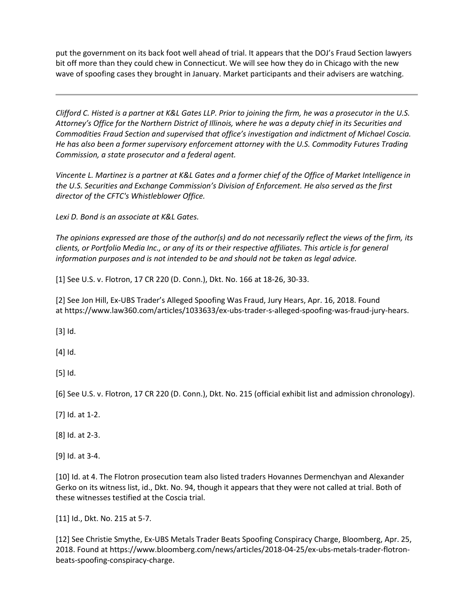put the government on its back foot well ahead of trial. It appears that the DOJ's Fraud Section lawyers bit off more than they could chew in Connecticut. We will see how they do in Chicago with the new wave of spoofing cases they brought in January. Market participants and their advisers are watching.

*Clifford C. Histed is a partner at K&L Gates LLP. Prior to joining the firm, he was a prosecutor in the U.S. Attorney's Office for the Northern District of Illinois, where he was a deputy chief in its Securities and Commodities Fraud Section and supervised that office's investigation and indictment of Michael Coscia. He has also been a former supervisory enforcement attorney with the U.S. Commodity Futures Trading Commission, a state prosecutor and a federal agent.*

*Vincente L. Martinez is a partner at K&L Gates and a former chief of the Office of Market Intelligence in the U.S. Securities and Exchange Commission's Division of Enforcement. He also served as the first director of the CFTC's Whistleblower Office.*

*Lexi D. Bond is an associate at K&L Gates.*

*The opinions expressed are those of the author(s) and do not necessarily reflect the views of the firm, its clients, or Portfolio Media Inc., or any of its or their respective affiliates. This article is for general information purposes and is not intended to be and should not be taken as legal advice.*

[1] See U.S. v. Flotron, 17 CR 220 (D. Conn.), Dkt. No. 166 at 18-26, 30-33.

[2] See Jon Hill, Ex-UBS Trader's Alleged Spoofing Was Fraud, Jury Hears, Apr. 16, 2018. Found at https://www.law360.com/articles/1033633/ex-ubs-trader-s-alleged-spoofing-was-fraud-jury-hears.

[3] Id.

[4] Id.

[5] Id.

[6] See U.S. v. Flotron, 17 CR 220 (D. Conn.), Dkt. No. 215 (official exhibit list and admission chronology).

[7] Id. at 1-2.

[8] Id. at 2-3.

[9] Id. at 3-4.

[10] Id. at 4. The Flotron prosecution team also listed traders Hovannes Dermenchyan and Alexander Gerko on its witness list, id., Dkt. No. 94, though it appears that they were not called at trial. Both of these witnesses testified at the Coscia trial.

[11] Id., Dkt. No. 215 at 5-7.

[12] See Christie Smythe, Ex-UBS Metals Trader Beats Spoofing Conspiracy Charge, Bloomberg, Apr. 25, 2018. Found at https://www.bloomberg.com/news/articles/2018-04-25/ex-ubs-metals-trader-flotronbeats-spoofing-conspiracy-charge.